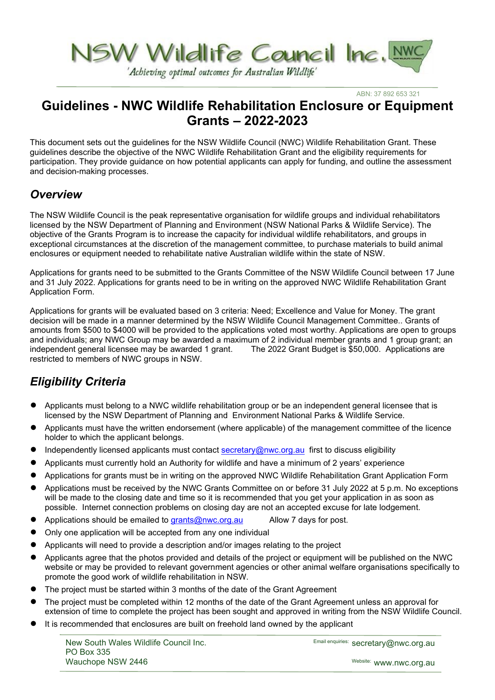

'Achieving optimal outcomes for Australian Wildlife'

ABN: 37 892 653 321

# **Guidelines - NWC Wildlife Rehabilitation Enclosure or Equipment Grants – 2022-2023**

This document sets out the guidelines for the NSW Wildlife Council (NWC) Wildlife Rehabilitation Grant. These guidelines describe the objective of the NWC Wildlife Rehabilitation Grant and the eligibility requirements for participation. They provide guidance on how potential applicants can apply for funding, and outline the assessment and decision-making processes.

### *Overview*

The NSW Wildlife Council is the peak representative organisation for wildlife groups and individual rehabilitators licensed by the NSW Department of Planning and Environment (NSW National Parks & Wildlife Service). The objective of the Grants Program is to increase the capacity for individual wildlife rehabilitators, and groups in exceptional circumstances at the discretion of the management committee, to purchase materials to build animal enclosures or equipment needed to rehabilitate native Australian wildlife within the state of NSW.

Applications for grants need to be submitted to the Grants Committee of the NSW Wildlife Council between 17 June and 31 July 2022. Applications for grants need to be in writing on the approved NWC Wildlife Rehabilitation Grant Application Form.

Applications for grants will be evaluated based on 3 criteria: Need; Excellence and Value for Money. The grant decision will be made in a manner determined by the NSW Wildlife Council Management Committee.. Grants of amounts from \$500 to \$4000 will be provided to the applications voted most worthy. Applications are open to groups and individuals; any NWC Group may be awarded a maximum of 2 individual member grants and 1 group grant; an independent general licensee may be awarded 1 grant. The 2022 Grant Budget is \$50,000. Applications are restricted to members of NWC groups in NSW.

# *Eligibility Criteria*

- Applicants must belong to a NWC wildlife rehabilitation group or be an independent general licensee that is licensed by the NSW Department of Planning and Environment National Parks & Wildlife Service.
- Applicants must have the written endorsement (where applicable) of the management committee of the licence holder to which the applicant belongs.
- Independently licensed applicants must contact [secretary@nwc.org.au](mailto:secretary@nwc.org.au) first to discuss eligibility
- Applicants must currently hold an Authority for wildlife and have a minimum of 2 years' experience
- Applications for grants must be in writing on the approved NWC Wildlife Rehabilitation Grant Application Form
- Applications must be received by the NWC Grants Committee on or before 31 July 2022 at 5 p.m. No exceptions will be made to the closing date and time so it is recommended that you get your application in as soon as possible. Internet connection problems on closing day are not an accepted excuse for late lodgement.
- Applications should be emailed to [grants@nwc.org.au](mailto:grants@nwc.org.au) Allow 7 days for post.
- Only one application will be accepted from any one individual
- Applicants will need to provide a description and/or images relating to the project
- Applicants agree that the photos provided and details of the project or equipment will be published on the NWC website or may be provided to relevant government agencies or other animal welfare organisations specifically to promote the good work of wildlife rehabilitation in NSW.
- The project must be started within 3 months of the date of the Grant Agreement
- The project must be completed within 12 months of the date of the Grant Agreement unless an approval for extension of time to complete the project has been sought and approved in writing from the NSW Wildlife Council.
- It is recommended that enclosures are built on freehold land owned by the applicant

New South Wales Wildlife Council Inc. PO Box 335 Wauchope NSW 2446